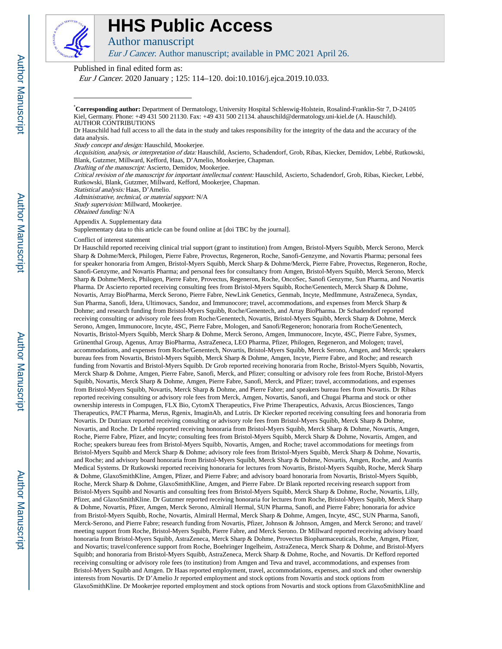

# **HHS Public Access**

Author manuscript

Eur J Cancer. Author manuscript; available in PMC 2021 April 26.

Published in final edited form as:

Eur J Cancer. 2020 January ; 125: 114–120. doi:10.1016/j.ejca.2019.10.033.

\***Corresponding author:** Department of Dermatology, University Hospital Schleswig-Holstein, Rosalind-Franklin-Str 7, D-24105 Kiel, Germany. Phone: +49 431 500 21130. Fax: +49 431 500 21134. ahauschild@dermatology.uni-kiel.de (A. Hauschild). AUTHOR CONTRIBUTIONS

Dr Hauschild had full access to all the data in the study and takes responsibility for the integrity of the data and the accuracy of the data analysis.

Study concept and design: Hauschild, Mookerjee.

Acquisition, analysis, or interpretation of data: Hauschild, Ascierto, Schadendorf, Grob, Ribas, Kiecker, Demidov, Lebbé, Rutkowski, Blank, Gutzmer, Millward, Kefford, Haas, D'Amelio, Mookerjee, Chapman.

Drafting of the manuscript: Ascierto, Demidov, Mookerjee.

Critical revision of the manuscript for important intellectual content: Hauschild, Ascierto, Schadendorf, Grob, Ribas, Kiecker, Lebbé, Rutkowski, Blank, Gutzmer, Millward, Kefford, Mookerjee, Chapman.

Statistical analysis: Haas, D'Amelio.

Administrative, technical, or material support: N/A Study supervision: Millward, Mookerjee.

Obtained funding: N/A

Appendix A. Supplementary data

Supplementary data to this article can be found online at [doi TBC by the journal].

#### Conflict of interest statement

Dr Hauschild reported receiving clinical trial support (grant to institution) from Amgen, Bristol-Myers Squibb, Merck Serono, Merck Sharp & Dohme/Merck, Philogen, Pierre Fabre, Provectus, Regeneron, Roche, Sanofi-Genzyme, and Novartis Pharma; personal fees for speaker honoraria from Amgen, Bristol-Myers Squibb, Merck Sharp & Dohme/Merck, Pierre Fabre, Provectus, Regeneron, Roche, Sanofi-Genzyme, and Novartis Pharma; and personal fees for consultancy from Amgen, Bristol-Myers Squibb, Merck Serono, Merck Sharp & Dohme/Merck, Philogen, Pierre Fabre, Provectus, Regeneron, Roche, OncoSec, Sanofi Genzyme, Sun Pharma, and Novartis Pharma. Dr Ascierto reported receiving consulting fees from Bristol-Myers Squibb, Roche/Genentech, Merck Sharp & Dohme, Novartis, Array BioPharma, Merck Serono, Pierre Fabre, NewLink Genetics, Genmab, Incyte, MedImmune, AstraZeneca, Syndax, Sun Pharma, Sanofi, Idera, Ultimovacs, Sandoz, and Immunocore; travel, accommodations, and expenses from Merck Sharp & Dohme; and research funding from Bristol-Myers Squibb, Roche/Genentech, and Array BioPharma. Dr Schadendorf reported receiving consulting or advisory role fees from Roche/Genentech, Novartis, Bristol-Myers Squibb, Merck Sharp & Dohme, Merck Serono, Amgen, Immunocore, Incyte, 4SC, Pierre Fabre, Mologen, and Sanofi/Regeneron; honoraria from Roche/Genentech, Novartis, Bristol-Myers Squibb, Merck Sharp & Dohme, Merck Serono, Amgen, Immunocore, Incyte, 4SC, Pierre Fabre, Sysmex, Grünenthal Group, Agenus, Array BioPharma, AstraZeneca, LEO Pharma, Pfizer, Philogen, Regeneron, and Mologen; travel, accommodations, and expenses from Roche/Genentech, Novartis, Bristol-Myers Squibb, Merck Serono, Amgen, and Merck; speakers bureau fees from Novartis, Bristol-Myers Squibb, Merck Sharp & Dohme, Amgen, Incyte, Pierre Fabre, and Roche; and research funding from Novartis and Bristol-Myers Squibb. Dr Grob reported receiving honoraria from Roche, Bristol-Myers Squibb, Novartis, Merck Sharp & Dohme, Amgen, Pierre Fabre, Sanofi, Merck, and Pfizer; consulting or advisory role fees from Roche, Bristol-Myers Squibb, Novartis, Merck Sharp & Dohme, Amgen, Pierre Fabre, Sanofi, Merck, and Pfizer; travel, accommodations, and expenses from Bristol-Myers Squibb, Novartis, Merck Sharp & Dohme, and Pierre Fabre; and speakers bureau fees from Novartis. Dr Ribas reported receiving consulting or advisory role fees from Merck, Amgen, Novartis, Sanofi, and Chugai Pharma and stock or other ownership interests in Compugen, FLX Bio, CytomX Therapeutics, Five Prime Therapeutics, Advaxis, Arcus Biosciences, Tango Therapeutics, PACT Pharma, Merus, Rgenix, ImaginAb, and Lutris. Dr Kiecker reported receiving consulting fees and honoraria from Novartis. Dr Dutriaux reported receiving consulting or advisory role fees from Bristol-Myers Squibb, Merck Sharp & Dohme, Novartis, and Roche. Dr Lebbé reported receiving honoraria from Bristol-Myers Squibb, Merck Sharp & Dohme, Novartis, Amgen, Roche, Pierre Fabre, Pfizer, and Incyte; consulting fees from Bristol-Myers Squibb, Merck Sharp & Dohme, Novartis, Amgen, and Roche; speakers bureau fees from Bristol-Myers Squibb, Novartis, Amgen, and Roche; travel accommodations for meetings from Bristol-Myers Squibb and Merck Sharp & Dohme; advisory role fees from Bristol-Myers Squibb, Merck Sharp & Dohme, Novartis, and Roche; and advisory board honoraria from Bristol-Myers Squibb, Merck Sharp & Dohme, Novartis, Amgen, Roche, and Avantis Medical Systems. Dr Rutkowski reported receiving honoraria for lectures from Novartis, Bristol-Myers Squibb, Roche, Merck Sharp & Dohme, GlaxoSmithKline, Amgen, Pfizer, and Pierre Fabre; and advisory board honoraria from Novartis, Bristol-Myers Squibb, Roche, Merck Sharp & Dohme, GlaxoSmithKline, Amgen, and Pierre Fabre. Dr Blank reported receiving research support from Bristol-Myers Squibb and Novartis and consulting fees from Bristol-Myers Squibb, Merck Sharp & Dohme, Roche, Novartis, Lilly, Pfizer, and GlaxoSmithKline. Dr Gutzmer reported receiving honoraria for lectures from Roche, Bristol-Myers Squibb, Merck Sharp & Dohme, Novartis, Pfizer, Amgen, Merck Serono, Almirall Hermal, SUN Pharma, Sanofi, and Pierre Fabre; honoraria for advice from Bristol-Myers Squibb, Roche, Novartis, Almirall Hermal, Merck Sharp & Dohme, Amgen, Incyte, 4SC, SUN Pharma, Sanofi, Merck-Serono, and Pierre Fabre; research funding from Novartis, Pfizer, Johnson & Johnson, Amgen, and Merck Serono; and travel/ meeting support from Roche, Bristol-Myers Squibb, Pierre Fabre, and Merck Serono. Dr Millward reported receiving advisory board honoraria from Bristol-Myers Squibb, AstraZeneca, Merck Sharp & Dohme, Provectus Biopharmaceuticals, Roche, Amgen, Pfizer, and Novartis; travel/conference support from Roche, Boehringer Ingelheim, AstraZeneca, Merck Sharp & Dohme, and Bristol-Myers Squibb; and honoraria from Bristol-Myers Squibb, AstraZeneca, Merck Sharp & Dohme, Roche, and Novartis. Dr Kefford reported receiving consulting or advisory role fees (to institution) from Amgen and Teva and travel, accommodations, and expenses from Bristol-Myers Squibb and Amgen. Dr Haas reported employment, travel, accommodations, expenses, and stock and other ownership interests from Novartis. Dr D'Amelio Jr reported employment and stock options from Novartis and stock options from GlaxoSmithKline. Dr Mookerjee reported employment and stock options from Novartis and stock options from GlaxoSmithKline and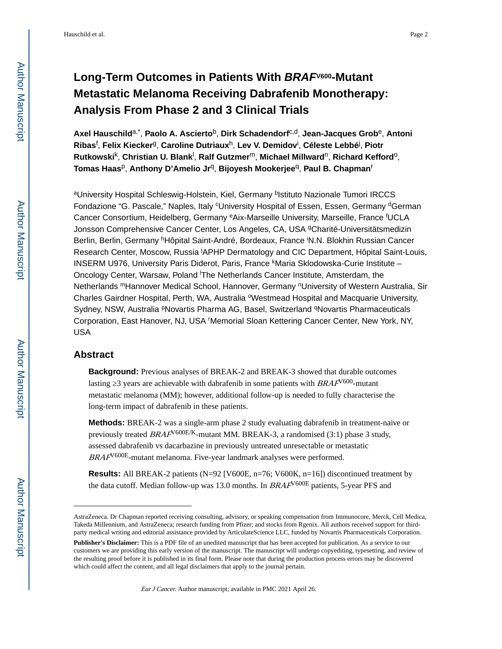## **Long-Term Outcomes in Patients With BRAFV600-Mutant Metastatic Melanoma Receiving Dabrafenib Monotherapy: Analysis From Phase 2 and 3 Clinical Trials**

**Axel Hauschild**a,\* , **Paolo A. Ascierto**b, **Dirk Schadendorf**c,d, **Jean-Jacques Grob**e, **Antoni Ribas**<sup>f</sup> , **Felix Kiecker**g, **Caroline Dutriaux**h, **Lev V. Demidov**<sup>i</sup> , **Céleste Lebbé**<sup>j</sup> , **Piotr Rutkowski**<sup>k</sup> , **Christian U. Blank**<sup>l</sup> , **Ralf Gutzmer**m, **Michael Millward**n, **Richard Kefford**o, **Tomas Haas**p, **Anthony D'Amelio Jr**q, **Bijoyesh Mookerjee**q, **Paul B. Chapman**<sup>r</sup>

<sup>a</sup>University Hospital Schleswig-Holstein, Kiel, Germany <sup>b</sup>lstituto Nazionale Tumori IRCCS Fondazione "G. Pascale," Naples, Italy <sup>c</sup>University Hospital of Essen, Essen, Germany <sup>d</sup>German Cancer Consortium, Heidelberg, Germany <sup>e</sup>Aix-Marseille University, Marseille, France <sup>f</sup>UCLA Jonsson Comprehensive Cancer Center, Los Angeles, CA, USA <sup>g</sup>Charité-Universitätsmedizin Berlin, Berlin, Germany <sup>h</sup>Hôpital Saint-André, Bordeaux, France <sup>i</sup>N.N. Blokhin Russian Cancer Research Center, Moscow, Russia <sup>j</sup>APHP Dermatology and CIC Department, Hôpital Saint-Louis, INSERM U976, University Paris Diderot, Paris, France <sup>k</sup>Maria Sklodowska-Curie Institute – Oncology Center, Warsaw, Poland <sup>l</sup>The Netherlands Cancer Institute, Amsterdam, the Netherlands mHannover Medical School, Hannover, Germany nUniversity of Western Australia, Sir Charles Gairdner Hospital, Perth, WA, Australia <sup>o</sup>Westmead Hospital and Macquarie University, Sydney, NSW, Australia PNovartis Pharma AG, Basel, Switzerland <sup>q</sup>Novartis Pharmaceuticals Corporation, East Hanover, NJ, USA <sup>r</sup>Memorial Sloan Kettering Cancer Center, New York, NY, USA

## **Abstract**

**Background:** Previous analyses of BREAK-2 and BREAK-3 showed that durable outcomes lasting 3 years are achievable with dabrafenib in some patients with  $BRAF<sup>V600</sup>$ -mutant metastatic melanoma (MM); however, additional follow-up is needed to fully characterise the long-term impact of dabrafenib in these patients.

**Methods:** BREAK-2 was a single-arm phase 2 study evaluating dabrafenib in treatment-naive or previously treated  $BRAF<sup>V600E/K</sup>$ -mutant MM. BREAK-3, a randomised (3:1) phase 3 study, assessed dabrafenib vs dacarbazine in previously untreated unresectable or metastatic  $BRAF<sup>V600E</sup>$ -mutant melanoma. Five-year landmark analyses were performed.

**Results:** All BREAK-2 patients (N=92 [V600E, n=76; V600K, n=16]) discontinued treatment by the data cutoff. Median follow-up was 13.0 months. In  $BRAF^{V600E}$  patients, 5-year PFS and

AstraZeneca. Dr Chapman reported receiving consulting, advisory, or speaking compensation from Immunocore, Merck, Cell Medica, Takeda Millennium, and AstraZeneca; research funding from Pfizer; and stocks from Rgenix. All authors received support for thirdparty medical writing and editorial assistance provided by ArticulateScience LLC, funded by Novartis Pharmaceuticals Corporation.

**Publisher's Disclaimer:** This is a PDF file of an unedited manuscript that has been accepted for publication. As a service to our customers we are providing this early version of the manuscript. The manuscript will undergo copyediting, typesetting, and review of the resulting proof before it is published in its final form. Please note that during the production process errors may be discovered which could affect the content, and all legal disclaimers that apply to the journal pertain.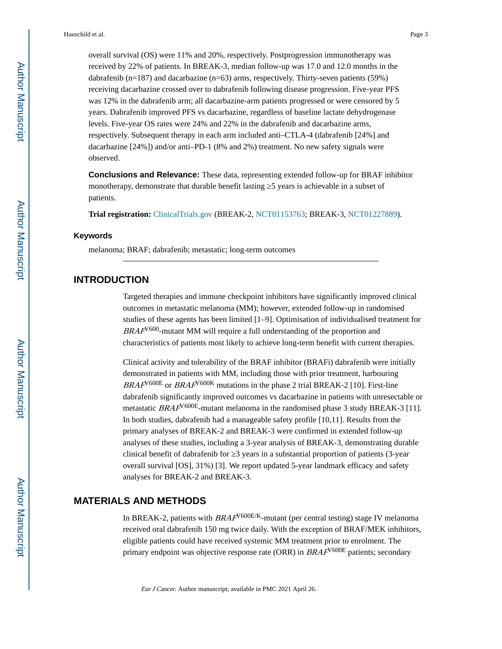overall survival (OS) were 11% and 20%, respectively. Postprogression immunotherapy was received by 22% of patients. In BREAK-3, median follow-up was 17.0 and 12.0 months in the dabrafenib ( $n=187$ ) and dacarbazine ( $n=63$ ) arms, respectively. Thirty-seven patients (59%) receiving dacarbazine crossed over to dabrafenib following disease progression. Five-year PFS was 12% in the dabrafenib arm; all dacarbazine-arm patients progressed or were censored by 5 years. Dabrafenib improved PFS vs dacarbazine, regardless of baseline lactate dehydrogenase levels. Five-year OS rates were 24% and 22% in the dabrafenib and dacarbazine arms, respectively. Subsequent therapy in each arm included anti–CTLA-4 (dabrafenib [24%] and dacarbazine [24%]) and/or anti–PD-1 (8% and 2%) treatment. No new safety signals were observed.

**Conclusions and Relevance:** These data, representing extended follow-up for BRAF inhibitor monotherapy, demonstrate that durable benefit lasting 5 years is achievable in a subset of patients.

**Trial registration:** [ClinicalTrials.gov](http://www.clinicaltrials.gov/) (BREAK-2, [NCT01153763](https://clinicaltrials.gov/ct2/show/NCT01153763); BREAK-3, [NCT01227889\)](https://clinicaltrials.gov/ct2/show/NCT01227889).

#### **Keywords**

melanoma; BRAF; dabrafenib; metastatic; long-term outcomes

## **INTRODUCTION**

Targeted therapies and immune checkpoint inhibitors have significantly improved clinical outcomes in metastatic melanoma (MM); however, extended follow-up in randomised studies of these agents has been limited [1–9]. Optimisation of individualised treatment for  $BRAF<sup>V600</sup>$ -mutant MM will require a full understanding of the proportion and characteristics of patients most likely to achieve long-term benefit with current therapies.

Clinical activity and tolerability of the BRAF inhibitor (BRAFi) dabrafenib were initially demonstrated in patients with MM, including those with prior treatment, harbouring  $BRAF^{V600E}$  or  $BRAF^{V600K}$  mutations in the phase 2 trial BREAK-2 [10]. First-line dabrafenib significantly improved outcomes vs dacarbazine in patients with unresectable or metastatic  $BRAF<sup>V600E</sup>$ -mutant melanoma in the randomised phase 3 study BREAK-3 [11]. In both studies, dabrafenib had a manageable safety profile [10,11]. Results from the primary analyses of BREAK-2 and BREAK-3 were confirmed in extended follow-up analyses of these studies, including a 3-year analysis of BREAK-3, demonstrating durable clinical benefit of dabrafenib for  $\overline{3}$  years in a substantial proportion of patients (3-year overall survival [OS], 31%) [3]. We report updated 5-year landmark efficacy and safety analyses for BREAK-2 and BREAK-3.

## **MATERIALS AND METHODS**

In BREAK-2, patients with  $BRAF^{V600E/K}$ -mutant (per central testing) stage IV melanoma received oral dabrafenib 150 mg twice daily. With the exception of BRAF/MEK inhibitors, eligible patients could have received systemic MM treatment prior to enrolment. The primary endpoint was objective response rate (ORR) in  $BRAF^{V600E}$  patients; secondary

Eur J Cancer. Author manuscript; available in PMC 2021 April 26.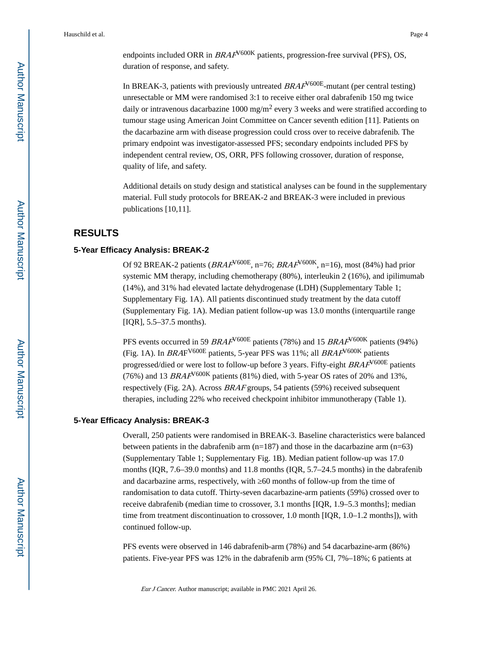Hauschild et al. Page 4

duration of response, and safety.

In BREAK-3, patients with previously untreated  $BRAF<sup>V600E</sup>$ -mutant (per central testing) unresectable or MM were randomised 3:1 to receive either oral dabrafenib 150 mg twice daily or intravenous dacarbazine 1000 mg/m<sup>2</sup> every 3 weeks and were stratified according to tumour stage using American Joint Committee on Cancer seventh edition [11]. Patients on the dacarbazine arm with disease progression could cross over to receive dabrafenib. The primary endpoint was investigator-assessed PFS; secondary endpoints included PFS by independent central review, OS, ORR, PFS following crossover, duration of response, quality of life, and safety.

Additional details on study design and statistical analyses can be found in the supplementary material. Full study protocols for BREAK-2 and BREAK-3 were included in previous publications [10,11].

## **RESULTS**

#### **5-Year Efficacy Analysis: BREAK-2**

Of 92 BREAK-2 patients ( $BRAF<sup>V600E</sup>$ , n=76;  $BRAF<sup>V600K</sup>$ , n=16), most (84%) had prior systemic MM therapy, including chemotherapy (80%), interleukin 2 (16%), and ipilimumab (14%), and 31% had elevated lactate dehydrogenase (LDH) (Supplementary Table 1; Supplementary Fig. 1A). All patients discontinued study treatment by the data cutoff (Supplementary Fig. 1A). Median patient follow-up was 13.0 months (interquartile range [IQR], 5.5–37.5 months).

PFS events occurred in 59  $BRAF<sup>V600E</sup>$  patients (78%) and 15  $BRAF<sup>V600K</sup>$  patients (94%) (Fig. 1A). In  $BRAF<sup>V600E</sup>$  patients, 5-year PFS was 11%; all  $BRAF<sup>V600K</sup>$  patients progressed/died or were lost to follow-up before 3 years. Fifty-eight  $BRAF<sup>V600E</sup>$  patients (76%) and 13 BRAF<sup> $V$ 600K</sup> patients (81%) died, with 5-year OS rates of 20% and 13%, respectively (Fig. 2A). Across BRAF groups, 54 patients (59%) received subsequent therapies, including 22% who received checkpoint inhibitor immunotherapy (Table 1).

#### **5-Year Efficacy Analysis: BREAK-3**

Overall, 250 patients were randomised in BREAK-3. Baseline characteristics were balanced between patients in the dabrafenib arm (n=187) and those in the dacarbazine arm (n=63) (Supplementary Table 1; Supplementary Fig. 1B). Median patient follow-up was 17.0 months (IQR, 7.6–39.0 months) and 11.8 months (IQR, 5.7–24.5 months) in the dabrafenib and dacarbazine arms, respectively, with  $\,60$  months of follow-up from the time of randomisation to data cutoff. Thirty-seven dacarbazine-arm patients (59%) crossed over to receive dabrafenib (median time to crossover, 3.1 months [IQR, 1.9–5.3 months]; median time from treatment discontinuation to crossover, 1.0 month [IQR, 1.0–1.2 months]), with continued follow-up.

PFS events were observed in 146 dabrafenib-arm (78%) and 54 dacarbazine-arm (86%) patients. Five-year PFS was 12% in the dabrafenib arm (95% CI, 7%–18%; 6 patients at

Eur J Cancer. Author manuscript; available in PMC 2021 April 26.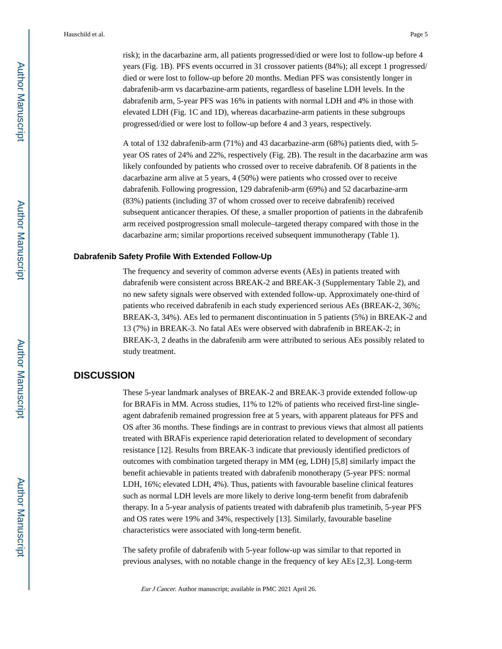risk); in the dacarbazine arm, all patients progressed/died or were lost to follow-up before 4 years (Fig. 1B). PFS events occurred in 31 crossover patients (84%); all except 1 progressed/ died or were lost to follow-up before 20 months. Median PFS was consistently longer in dabrafenib-arm vs dacarbazine-arm patients, regardless of baseline LDH levels. In the dabrafenib arm, 5-year PFS was 16% in patients with normal LDH and 4% in those with elevated LDH (Fig. 1C and 1D), whereas dacarbazine-arm patients in these subgroups progressed/died or were lost to follow-up before 4 and 3 years, respectively.

A total of 132 dabrafenib-arm (71%) and 43 dacarbazine-arm (68%) patients died, with 5 year OS rates of 24% and 22%, respectively (Fig. 2B). The result in the dacarbazine arm was likely confounded by patients who crossed over to receive dabrafenib. Of 8 patients in the dacarbazine arm alive at 5 years, 4 (50%) were patients who crossed over to receive dabrafenib. Following progression, 129 dabrafenib-arm (69%) and 52 dacarbazine-arm (83%) patients (including 37 of whom crossed over to receive dabrafenib) received subsequent anticancer therapies. Of these, a smaller proportion of patients in the dabrafenib arm received postprogression small molecule–targeted therapy compared with those in the dacarbazine arm; similar proportions received subsequent immunotherapy (Table 1).

#### **Dabrafenib Safety Profile With Extended Follow-Up**

The frequency and severity of common adverse events (AEs) in patients treated with dabrafenib were consistent across BREAK-2 and BREAK-3 (Supplementary Table 2), and no new safety signals were observed with extended follow-up. Approximately one-third of patients who received dabrafenib in each study experienced serious AEs (BREAK-2, 36%; BREAK-3, 34%). AEs led to permanent discontinuation in 5 patients (5%) in BREAK-2 and 13 (7%) in BREAK-3. No fatal AEs were observed with dabrafenib in BREAK-2; in BREAK-3, 2 deaths in the dabrafenib arm were attributed to serious AEs possibly related to study treatment.

## **DISCUSSION**

These 5-year landmark analyses of BREAK-2 and BREAK-3 provide extended follow-up for BRAFis in MM. Across studies, 11% to 12% of patients who received first-line singleagent dabrafenib remained progression free at 5 years, with apparent plateaus for PFS and OS after 36 months. These findings are in contrast to previous views that almost all patients treated with BRAFis experience rapid deterioration related to development of secondary resistance [12]. Results from BREAK-3 indicate that previously identified predictors of outcomes with combination targeted therapy in MM (eg, LDH) [5,8] similarly impact the benefit achievable in patients treated with dabrafenib monotherapy (5-year PFS: normal LDH, 16%; elevated LDH, 4%). Thus, patients with favourable baseline clinical features such as normal LDH levels are more likely to derive long-term benefit from dabrafenib therapy. In a 5-year analysis of patients treated with dabrafenib plus trametinib, 5-year PFS and OS rates were 19% and 34%, respectively [13]. Similarly, favourable baseline characteristics were associated with long-term benefit.

The safety profile of dabrafenib with 5-year follow-up was similar to that reported in previous analyses, with no notable change in the frequency of key AEs [2,3]. Long-term

Eur J Cancer. Author manuscript; available in PMC 2021 April 26.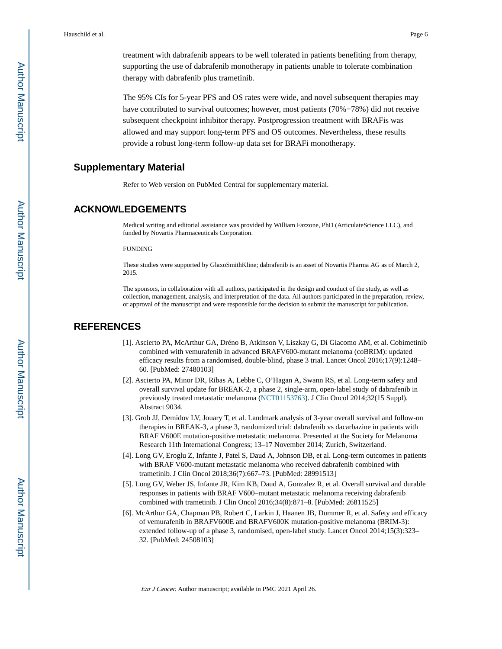treatment with dabrafenib appears to be well tolerated in patients benefiting from therapy, supporting the use of dabrafenib monotherapy in patients unable to tolerate combination therapy with dabrafenib plus trametinib.

The 95% CIs for 5-year PFS and OS rates were wide, and novel subsequent therapies may have contributed to survival outcomes; however, most patients (70%−78%) did not receive subsequent checkpoint inhibitor therapy. Postprogression treatment with BRAFis was allowed and may support long-term PFS and OS outcomes. Nevertheless, these results provide a robust long-term follow-up data set for BRAFi monotherapy.

### **Supplementary Material**

Refer to Web version on PubMed Central for supplementary material.

## **ACKNOWLEDGEMENTS**

Medical writing and editorial assistance was provided by William Fazzone, PhD (ArticulateScience LLC), and funded by Novartis Pharmaceuticals Corporation.

#### FUNDING

These studies were supported by GlaxoSmithKline; dabrafenib is an asset of Novartis Pharma AG as of March 2, 2015.

The sponsors, in collaboration with all authors, participated in the design and conduct of the study, as well as collection, management, analysis, and interpretation of the data. All authors participated in the preparation, review, or approval of the manuscript and were responsible for the decision to submit the manuscript for publication.

## **REFERENCES**

- [1]. Ascierto PA, McArthur GA, Dréno B, Atkinson V, Liszkay G, Di Giacomo AM, et al. Cobimetinib combined with vemurafenib in advanced BRAFV600-mutant melanoma (coBRIM): updated efficacy results from a randomised, double-blind, phase 3 trial. Lancet Oncol 2016;17(9):1248– 60. [PubMed: 27480103]
- [2]. Ascierto PA, Minor DR, Ribas A, Lebbe C, O'Hagan A, Swann RS, et al. Long-term safety and overall survival update for BREAK-2, a phase 2, single-arm, open-label study of dabrafenib in previously treated metastatic melanoma [\(NCT01153763](https://clinicaltrials.gov/ct2/show/NCT01153763)). J Clin Oncol 2014;32(15 Suppl). Abstract 9034.
- [3]. Grob JJ, Demidov LV, Jouary T, et al. Landmark analysis of 3-year overall survival and follow-on therapies in BREAK-3, a phase 3, randomized trial: dabrafenib vs dacarbazine in patients with BRAF V600E mutation-positive metastatic melanoma. Presented at the Society for Melanoma Research 11th International Congress; 13–17 November 2014; Zurich, Switzerland.
- [4]. Long GV, Eroglu Z, Infante J, Patel S, Daud A, Johnson DB, et al. Long-term outcomes in patients with BRAF V600-mutant metastatic melanoma who received dabrafenib combined with trametinib. J Clin Oncol 2018;36(7):667–73. [PubMed: 28991513]
- [5]. Long GV, Weber JS, Infante JR, Kim KB, Daud A, Gonzalez R, et al. Overall survival and durable responses in patients with BRAF V600–mutant metastatic melanoma receiving dabrafenib combined with trametinib. J Clin Oncol 2016;34(8):871–8. [PubMed: 26811525]
- [6]. McArthur GA, Chapman PB, Robert C, Larkin J, Haanen JB, Dummer R, et al. Safety and efficacy of vemurafenib in BRAFV600E and BRAFV600K mutation-positive melanoma (BRIM-3): extended follow-up of a phase 3, randomised, open-label study. Lancet Oncol 2014;15(3):323– 32. [PubMed: 24508103]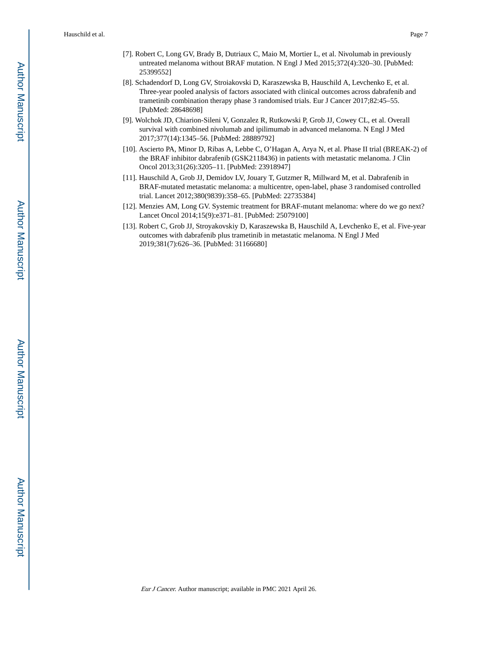Hauschild et al. Page 7

- [7]. Robert C, Long GV, Brady B, Dutriaux C, Maio M, Mortier L, et al. Nivolumab in previously untreated melanoma without BRAF mutation. N Engl J Med 2015;372(4):320–30. [PubMed: 25399552]
- [8]. Schadendorf D, Long GV, Stroiakovski D, Karaszewska B, Hauschild A, Levchenko E, et al. Three-year pooled analysis of factors associated with clinical outcomes across dabrafenib and trametinib combination therapy phase 3 randomised trials. Eur J Cancer 2017;82:45–55. [PubMed: 28648698]
- [9]. Wolchok JD, Chiarion-Sileni V, Gonzalez R, Rutkowski P, Grob JJ, Cowey CL, et al. Overall survival with combined nivolumab and ipilimumab in advanced melanoma. N Engl J Med 2017;377(14):1345–56. [PubMed: 28889792]
- [10]. Ascierto PA, Minor D, Ribas A, Lebbe C, O'Hagan A, Arya N, et al. Phase II trial (BREAK-2) of the BRAF inhibitor dabrafenib (GSK2118436) in patients with metastatic melanoma. J Clin Oncol 2013;31(26):3205–11. [PubMed: 23918947]
- [11]. Hauschild A, Grob JJ, Demidov LV, Jouary T, Gutzmer R, Millward M, et al. Dabrafenib in BRAF-mutated metastatic melanoma: a multicentre, open-label, phase 3 randomised controlled trial. Lancet 2012;380(9839):358–65. [PubMed: 22735384]
- [12]. Menzies AM, Long GV. Systemic treatment for BRAF-mutant melanoma: where do we go next? Lancet Oncol 2014;15(9):e371–81. [PubMed: 25079100]
- [13]. Robert C, Grob JJ, Stroyakovskiy D, Karaszewska B, Hauschild A, Levchenko E, et al. Five-year outcomes with dabrafenib plus trametinib in metastatic melanoma. N Engl J Med 2019;381(7):626–36. [PubMed: 31166680]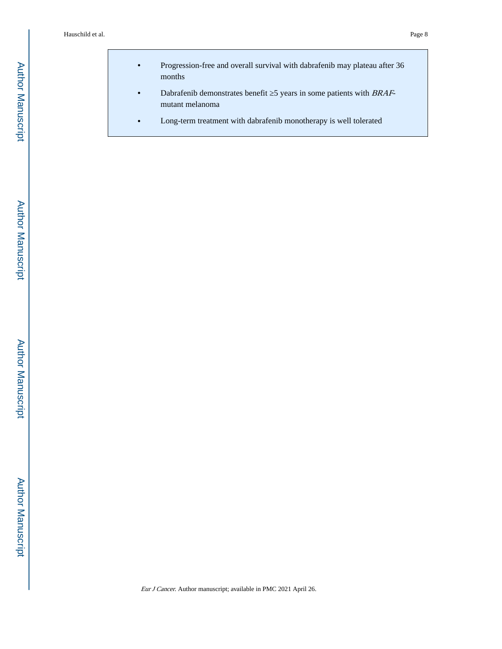- **•** Progression-free and overall survival with dabrafenib may plateau after 36 months
- Dabrafenib demonstrates benefit 5 years in some patients with BRAFmutant melanoma
- **•** Long-term treatment with dabrafenib monotherapy is well tolerated

Author Manuscript

**Author Manuscript**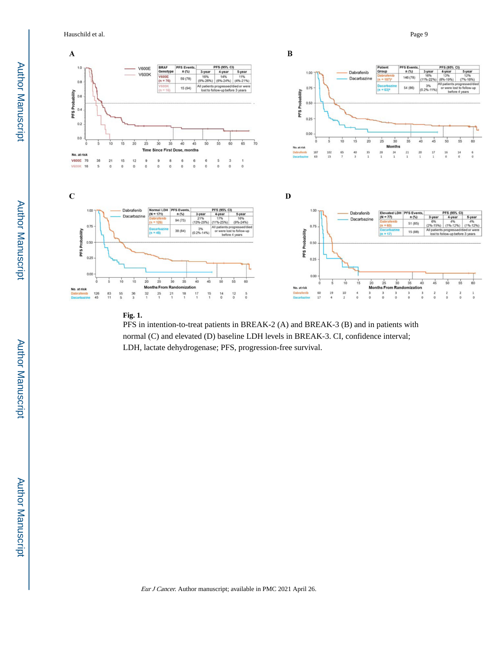Hauschild et al. Page 9



#### **Fig. 1.**

PFS in intention-to-treat patients in BREAK-2 (A) and BREAK-3 (B) and in patients with normal (C) and elevated (D) baseline LDH levels in BREAK-3. CI, confidence interval; LDH, lactate dehydrogenase; PFS, progression-free survival.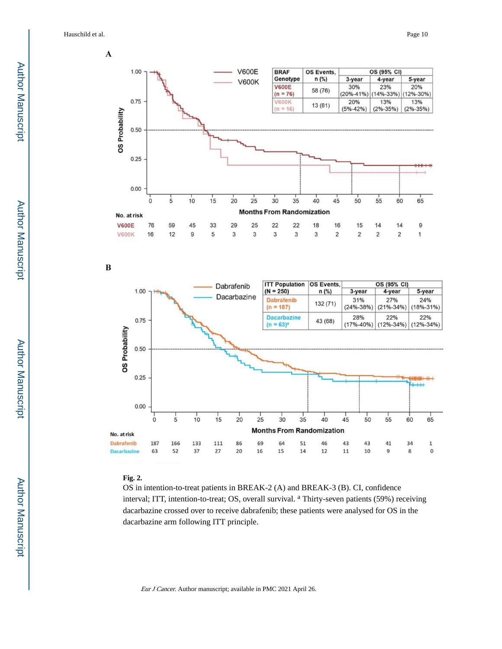Hauschild et al. Page 10





 $\bf{B}$ 



#### **Fig. 2.**

OS in intention-to-treat patients in BREAK-2 (A) and BREAK-3 (B). CI, confidence interval; ITT, intention-to-treat; OS, overall survival. <sup>a</sup> Thirty-seven patients (59%) receiving dacarbazine crossed over to receive dabrafenib; these patients were analysed for OS in the dacarbazine arm following ITT principle.